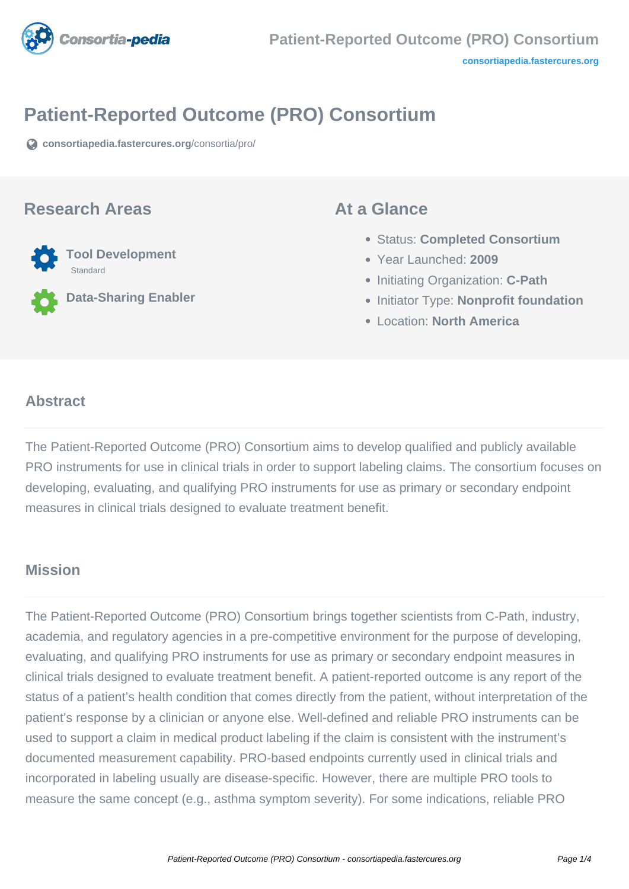

# **Patient-Reported Outcome (PRO) Consortium**

**[consortiapedia.fastercures.org](https://consortiapedia.fastercures.org/consortia/pro/)**[/consortia/pro/](https://consortiapedia.fastercures.org/consortia/pro/)

#### **Research Areas**



**Data-Sharing Enabler**

#### **At a Glance**

- Status: **Completed Consortium**
- Year Launched: **2009**
- **Initiating Organization: C-Path**
- **Initiator Type: Nonprofit foundation**
- Location: **North America**

#### $\overline{a}$ **Abstract**

The Patient-Reported Outcome (PRO) Consortium aims to develop qualified and publicly available PRO instruments for use in clinical trials in order to support labeling claims. The consortium focuses on developing, evaluating, and qualifying PRO instruments for use as primary or secondary endpoint measures in clinical trials designed to evaluate treatment benefit.

#### **Mission**

The Patient-Reported Outcome (PRO) Consortium brings together scientists from C-Path, industry, academia, and regulatory agencies in a pre-competitive environment for the purpose of developing, evaluating, and qualifying PRO instruments for use as primary or secondary endpoint measures in clinical trials designed to evaluate treatment benefit. A patient-reported outcome is any report of the status of a patient's health condition that comes directly from the patient, without interpretation of the patient's response by a clinician or anyone else. Well-defined and reliable PRO instruments can be used to support a claim in medical product labeling if the claim is consistent with the instrument's documented measurement capability. PRO-based endpoints currently used in clinical trials and incorporated in labeling usually are disease-specific. However, there are multiple PRO tools to measure the same concept (e.g., asthma symptom severity). For some indications, reliable PRO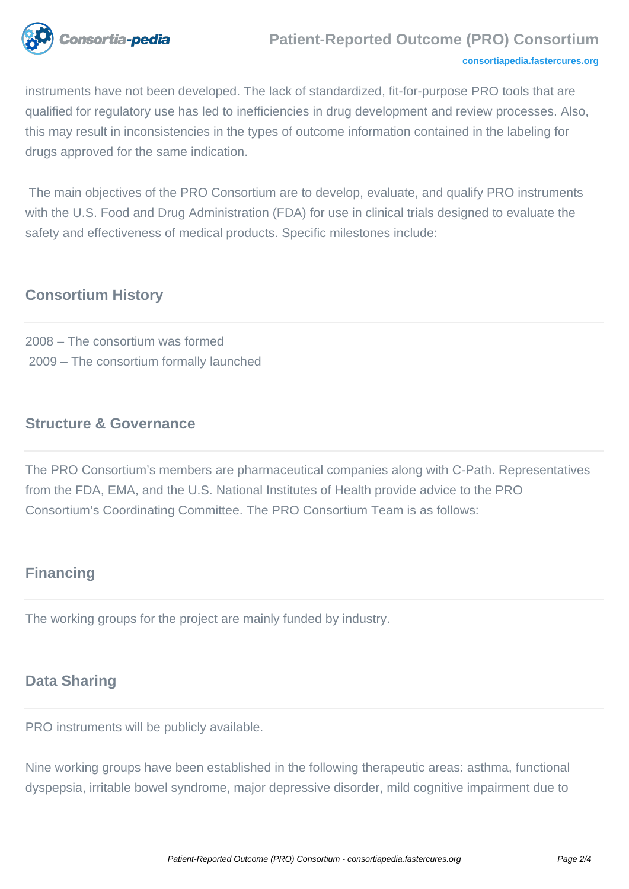

#### **Patient-Reported Outcome (PRO) Consortium**

#### **[consortiapedia.fastercures.org](http://consortiapedia.fastercures.org/)**

instruments have not been developed. The lack of standardized, fit-for-purpose PRO tools that are qualified for regulatory use has led to inefficiencies in drug development and review processes. Also, this may result in inconsistencies in the types of outcome information contained in the labeling for drugs approved for the same indication.

 The main objectives of the PRO Consortium are to develop, evaluate, and qualify PRO instruments with the U.S. Food and Drug Administration (FDA) for use in clinical trials designed to evaluate the safety and effectiveness of medical products. Specific milestones include:

## **Consortium History**

2008 – The consortium was formed 2009 – The consortium formally launched

#### **Structure & Governance**

The PRO Consortium's members are pharmaceutical companies along with C-Path. Representatives from the FDA, EMA, and the U.S. National Institutes of Health provide advice to the PRO Consortium's Coordinating Committee. The PRO Consortium Team is as follows:

## **Financing**

The working groups for the project are mainly funded by industry.

## **Data Sharing**

PRO instruments will be publicly available.

Nine working groups have been established in the following therapeutic areas: asthma, functional dyspepsia, irritable bowel syndrome, major depressive disorder, mild cognitive impairment due to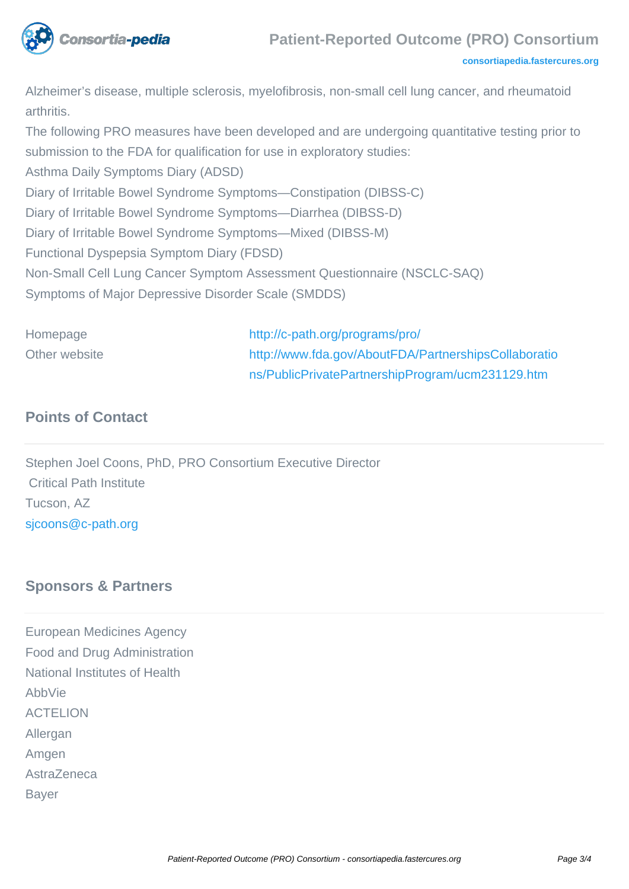

Alzheimer's disease, multiple sclerosis, myelofibrosis, non-small cell lung cancer, and rheumatoid arthritis.

The following PRO measures have been developed and are undergoing quantitative testing prior to submission to the FDA for qualification for use in exploratory studies: Asthma Daily Symptoms Diary (ADSD) Diary of Irritable Bowel Syndrome Symptoms—Constipation (DIBSS-C) Diary of Irritable Bowel Syndrome Symptoms—Diarrhea (DIBSS-D) Diary of Irritable Bowel Syndrome Symptoms—Mixed (DIBSS-M) Functional Dyspepsia Symptom Diary (FDSD) Non-Small Cell Lung Cancer Symptom Assessment Questionnaire (NSCLC-SAQ) Symptoms of Major Depressive Disorder Scale (SMDDS)

Homepage <http://c-path.org/programs/pro/> Other website [http://www.fda.gov/AboutFDA/PartnershipsCollaboratio](http://www.fda.gov/AboutFDA/PartnershipsCollaborations/PublicPrivatePartnershipProgram/ucm231129.htm) [ns/PublicPrivatePartnershipProgram/ucm231129.htm](http://www.fda.gov/AboutFDA/PartnershipsCollaborations/PublicPrivatePartnershipProgram/ucm231129.htm)

## **Points of Contact**

Stephen Joel Coons, PhD, PRO Consortium Executive Director Critical Path Institute Tucson, AZ [sjcoons@c-path.org](mailto:sjcoons@c-path.org)

#### **Sponsors & Partners**

European Medicines Agency Food and Drug Administration National Institutes of Health AbbVie ACTELION Allergan Amgen AstraZeneca Bayer